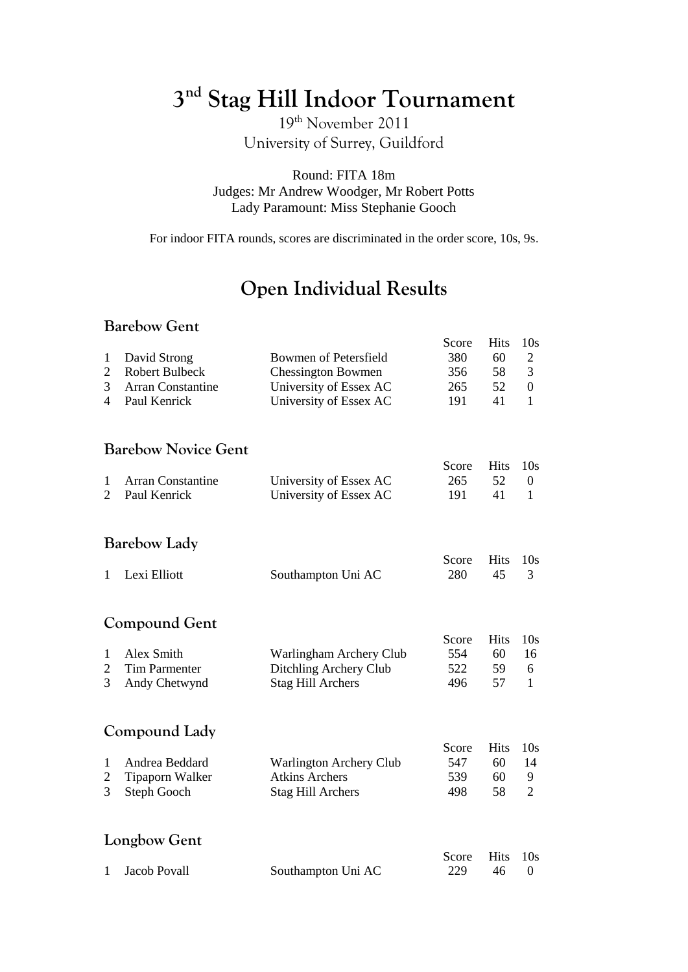# **3 nd Stag Hill Indoor Tournament**

19th November 2011 University of Surrey, Guildford

Round: FITA 18m Judges: Mr Andrew Woodger, Mr Robert Potts Lady Paramount: Miss Stephanie Gooch

For indoor FITA rounds, scores are discriminated in the order score, 10s, 9s.

## **Open Individual Results**

#### **Barebow Gent**

|                                          | Daredow Gent                                                                      |                                                                                                               |                                   |                              |                                                                          |
|------------------------------------------|-----------------------------------------------------------------------------------|---------------------------------------------------------------------------------------------------------------|-----------------------------------|------------------------------|--------------------------------------------------------------------------|
| $\mathbf{1}$<br>$\overline{c}$<br>3<br>4 | David Strong<br><b>Robert Bulbeck</b><br><b>Arran Constantine</b><br>Paul Kenrick | <b>Bowmen of Petersfield</b><br><b>Chessington Bowmen</b><br>University of Essex AC<br>University of Essex AC | Score<br>380<br>356<br>265<br>191 | Hits<br>60<br>58<br>52<br>41 | 10 <sub>s</sub><br>$\mathbf{2}$<br>3<br>$\boldsymbol{0}$<br>$\mathbf{1}$ |
|                                          | <b>Barebow Novice Gent</b>                                                        |                                                                                                               |                                   |                              |                                                                          |
| $\mathbf{1}$<br>$\overline{2}$           | <b>Arran Constantine</b><br>Paul Kenrick                                          | University of Essex AC<br>University of Essex AC                                                              | Score<br>265<br>191               | <b>Hits</b><br>52<br>41      | 10 <sub>s</sub><br>$\boldsymbol{0}$<br>$\mathbf{1}$                      |
|                                          | <b>Barebow Lady</b>                                                               |                                                                                                               |                                   |                              |                                                                          |
| $\mathbf{1}$                             | Lexi Elliott                                                                      | Southampton Uni AC                                                                                            | Score<br>280                      | Hits<br>45                   | 10 <sub>s</sub><br>3                                                     |
|                                          | Compound Gent                                                                     |                                                                                                               |                                   |                              |                                                                          |
| $\mathbf{1}$<br>2<br>3                   | Alex Smith<br><b>Tim Parmenter</b><br>Andy Chetwynd                               | Warlingham Archery Club<br>Ditchling Archery Club<br><b>Stag Hill Archers</b>                                 | Score<br>554<br>522<br>496        | Hits<br>60<br>59<br>57       | 10 <sub>s</sub><br>16<br>6<br>$\mathbf{1}$                               |
|                                          | Compound Lady                                                                     |                                                                                                               |                                   |                              |                                                                          |
| $\mathbf{1}$<br>$\overline{c}$<br>3      | Andrea Beddard<br>Tipaporn Walker<br>Steph Gooch                                  | <b>Warlington Archery Club</b><br><b>Atkins Archers</b><br><b>Stag Hill Archers</b>                           | Score<br>547<br>539<br>498        | Hits<br>60<br>60<br>58       | 10 <sub>s</sub><br>14<br>9<br>$\overline{2}$                             |
|                                          | Longbow Gent                                                                      |                                                                                                               |                                   |                              |                                                                          |
| $\mathbf{1}$                             | <b>Jacob Povall</b>                                                               | Southampton Uni AC                                                                                            | Score<br>229                      | <b>Hits</b><br>46            | 10 <sub>s</sub><br>$\boldsymbol{0}$                                      |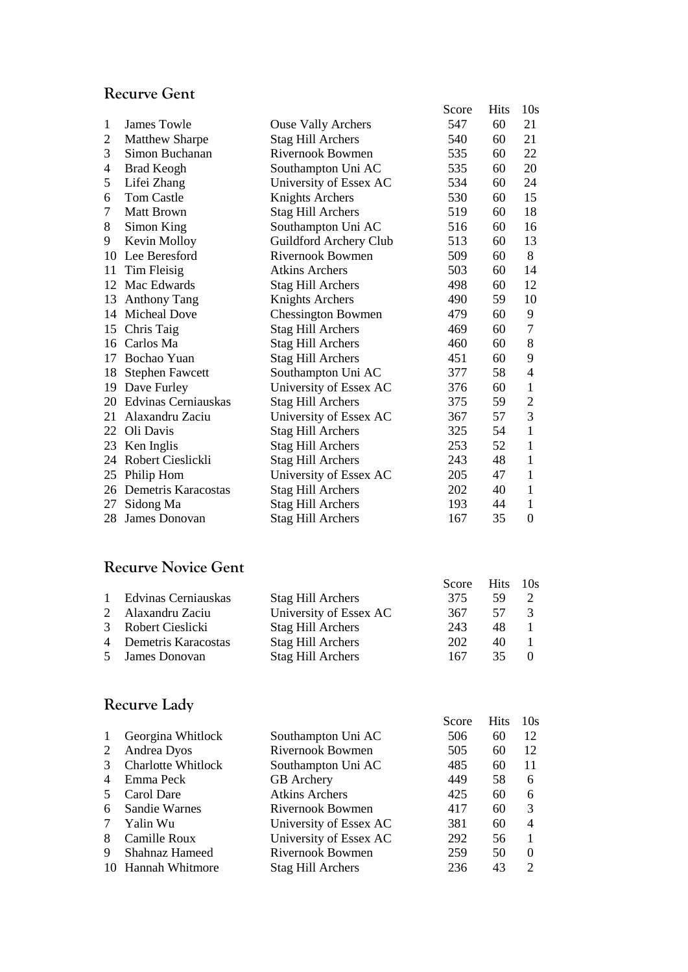#### **Recurve Gent**

|                |                            |                           | Score | <b>Hits</b> | 10 <sub>s</sub>  |
|----------------|----------------------------|---------------------------|-------|-------------|------------------|
| 1              | James Towle                | <b>Ouse Vally Archers</b> | 547   | 60          | 21               |
| $\overline{2}$ | <b>Matthew Sharpe</b>      | <b>Stag Hill Archers</b>  | 540   | 60          | 21               |
| 3              | Simon Buchanan             | <b>Rivernook Bowmen</b>   | 535   | 60          | 22               |
| 4              | <b>Brad Keogh</b>          | Southampton Uni AC        | 535   | 60          | 20               |
| 5              | Lifei Zhang                | University of Essex AC    | 534   | 60          | 24               |
| 6              | <b>Tom Castle</b>          | <b>Knights Archers</b>    | 530   | 60          | 15               |
| 7              | <b>Matt Brown</b>          | <b>Stag Hill Archers</b>  | 519   | 60          | 18               |
| 8              | Simon King                 | Southampton Uni AC        | 516   | 60          | 16               |
| 9              | Kevin Molloy               | Guildford Archery Club    | 513   | 60          | 13               |
| 10             | Lee Beresford              | <b>Rivernook Bowmen</b>   | 509   | 60          | 8                |
| 11             | Tim Fleisig                | <b>Atkins Archers</b>     | 503   | 60          | 14               |
| 12             | Mac Edwards                | <b>Stag Hill Archers</b>  | 498   | 60          | 12               |
|                | 13 Anthony Tang            | <b>Knights Archers</b>    | 490   | 59          | 10               |
|                | 14 Micheal Dove            | <b>Chessington Bowmen</b> | 479   | 60          | 9                |
|                | 15 Chris Taig              | <b>Stag Hill Archers</b>  | 469   | 60          | $\tau$           |
|                | 16 Carlos Ma               | <b>Stag Hill Archers</b>  | 460   | 60          | 8                |
|                | 17 Bochao Yuan             | <b>Stag Hill Archers</b>  | 451   | 60          | 9                |
| 18             | <b>Stephen Fawcett</b>     | Southampton Uni AC        | 377   | 58          | 4                |
| 19             | Dave Furley                | University of Essex AC    | 376   | 60          | $\mathbf{1}$     |
| 20             | Edvinas Cerniauskas        | <b>Stag Hill Archers</b>  | 375   | 59          | $\overline{c}$   |
|                | 21 Alaxandru Zaciu         | University of Essex AC    | 367   | 57          | 3                |
|                | 22 Oli Davis               | <b>Stag Hill Archers</b>  | 325   | 54          | $\mathbf{1}$     |
|                | 23 Ken Inglis              | <b>Stag Hill Archers</b>  | 253   | 52          | $\mathbf{1}$     |
|                | 24 Robert Cieslickli       | <b>Stag Hill Archers</b>  | 243   | 48          | $\mathbf{1}$     |
|                | 25 Philip Hom              | University of Essex AC    | 205   | 47          | 1                |
|                | 26 Demetris Karacostas     | <b>Stag Hill Archers</b>  | 202   | 40          | 1                |
| 27             | Sidong Ma                  | <b>Stag Hill Archers</b>  | 193   | 44          | 1                |
|                | 28 James Donovan           | <b>Stag Hill Archers</b>  | 167   | 35          | $\boldsymbol{0}$ |
|                | <b>Recurve Novice Gent</b> |                           |       |             |                  |
|                |                            |                           | Score | <b>Hits</b> | 10 <sub>s</sub>  |
| 1              | Edvinas Cerniauskas        | <b>Stag Hill Archers</b>  | 375   | 59          | 2                |
| $\overline{c}$ | Alaxandru Zaciu            | University of Essex AC    | 367   | 57          | 3                |
| 3              | Robert Cieslicki           | <b>Stag Hill Archers</b>  | 243   | 48          | 1                |
| 4              | Demetris Karacostas        | <b>Stag Hill Archers</b>  | 202   | 40          | 1                |
| 5              | James Donovan              | <b>Stag Hill Archers</b>  | 167   | 35          | 0                |
|                | Recurve Lady               |                           |       |             |                  |
|                |                            |                           | Score | <b>Hits</b> | 10 <sub>s</sub>  |
| $\mathbf{1}$   | Georgina Whitlock          | Southampton Uni AC        | 506   | 60          | 12               |
| 2              | Andrea Dyos                | <b>Rivernook Bowmen</b>   | 505   | 60          | 12               |
| 3              | <b>Charlotte Whitlock</b>  | Southampton Uni AC        | 485   | 60          | 11               |
| 4              | Emma Peck                  | <b>GB</b> Archery         | 449   | 58          | 6                |
| 5              | Carol Dare                 | <b>Atkins Archers</b>     | 425   | 60          | 6                |
| 6              | Sandie Warnes              | Rivernook Bowmen          | 417   | 60          | 3                |
| 7              | Yalin Wu                   | University of Essex AC    | 381   | 60          | 4                |
| 8              | Camille Roux               | University of Essex AC    | 292   | 56          | $\mathbf{1}$     |
| 9              | Shahnaz Hameed             | <b>Rivernook Bowmen</b>   | 259   | 50          | $\boldsymbol{0}$ |

10 Hannah Whitmore Stag Hill Archers 236 43 2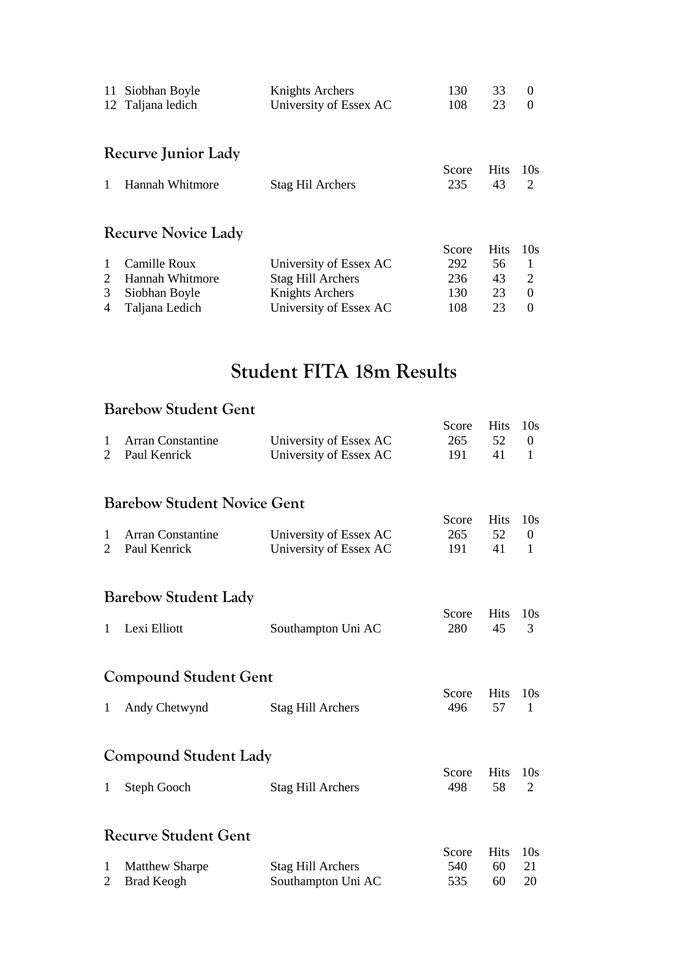| 11 | Siobhan Boyle              | Knights Archers          | 130   | 33          | $\theta$ |
|----|----------------------------|--------------------------|-------|-------------|----------|
|    | 12 Taljana ledich          | University of Essex AC   | 108   | 23          | $\Omega$ |
|    |                            |                          |       |             |          |
|    | Recurve Junior Lady        |                          |       |             |          |
|    |                            |                          | Score | <b>Hits</b> | 10s      |
|    | Hannah Whitmore            | <b>Stag Hil Archers</b>  | 235   | 43          | 2        |
|    | <b>Recurve Novice Lady</b> |                          |       |             |          |
|    |                            |                          | Score | <b>Hits</b> | 10s      |
|    | Camille Roux               | University of Essex AC   | 292   | 56          | -1       |
| 2  | Hannah Whitmore            | <b>Stag Hill Archers</b> | 236   | 43          | 2        |
| 3  | Siobhan Boyle              | Knights Archers          | 130   | 23          | $\Omega$ |
| 4  | Taljana Ledich             | University of Essex AC   | 108   | 23          | $\Omega$ |

## **Student FITA 18m Results**

#### **Barebow Student Gent**

|                     |                        | Score Hits 10s |      |  |
|---------------------|------------------------|----------------|------|--|
| 1 Arran Constantine | University of Essex AC | 265 52 0       |      |  |
| 2 Paul Kenrick      | University of Essex AC | 191 -          | 41 1 |  |

#### **Barebow Student Novice Gent**

|                     |                        | Score Hits 10s |      |  |
|---------------------|------------------------|----------------|------|--|
| 1 Arran Constantine | University of Essex AC | 265            | 52   |  |
| 2 Paul Kenrick      | University of Essex AC | 191.           | 41 1 |  |

#### **Barebow Student Lady**

|                |                    | Score Hits 10s |  |
|----------------|--------------------|----------------|--|
| 1 Lexi Elliott | Southampton Uni AC | 280 45 3       |  |

#### **Compound Student Gent**

|                 |                   | Score Hits 10s |  |
|-----------------|-------------------|----------------|--|
| 1 Andy Chetwynd | Stag Hill Archers | 496 57 1       |  |

#### **Compound Student Lady**

|               |                          | Score Hits 10s |  |
|---------------|--------------------------|----------------|--|
| 1 Steph Gooch | <b>Stag Hill Archers</b> | 498 58 2       |  |

#### **Recurve Student Gent**

|                  |                    | Score Hits 10s |       |     |
|------------------|--------------------|----------------|-------|-----|
| 1 Matthew Sharpe | Stag Hill Archers  | 540            | 60 21 |     |
| 2 Brad Keogh     | Southampton Uni AC | 535            | 60    | -20 |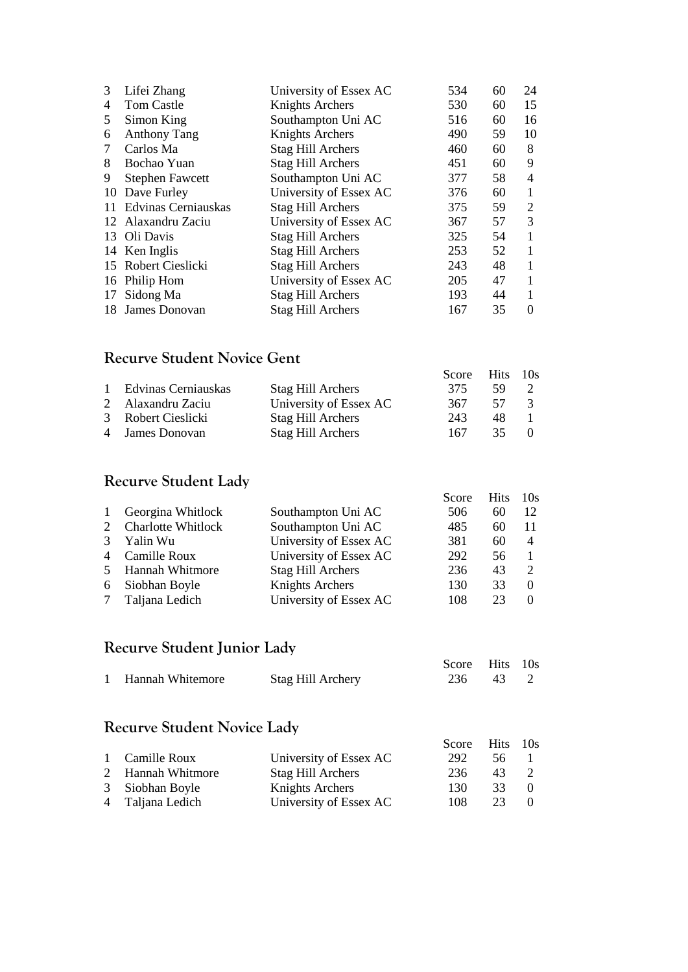| 3  | Lifei Zhang            | University of Essex AC   | 534 | 60 | 24 |
|----|------------------------|--------------------------|-----|----|----|
| 4  | Tom Castle             | Knights Archers          | 530 | 60 | 15 |
| 5  | Simon King             | Southampton Uni AC       | 516 | 60 | 16 |
| 6  | <b>Anthony Tang</b>    | Knights Archers          | 490 | 59 | 10 |
| 7  | Carlos Ma              | <b>Stag Hill Archers</b> | 460 | 60 | 8  |
| 8  | Bochao Yuan            | <b>Stag Hill Archers</b> | 451 | 60 | 9  |
| 9  | <b>Stephen Fawcett</b> | Southampton Uni AC       | 377 | 58 | 4  |
| 10 | Dave Furley            | University of Essex AC   | 376 | 60 | 1  |
|    | 11 Edvinas Cerniauskas | <b>Stag Hill Archers</b> | 375 | 59 | 2  |
|    | 12 Alaxandru Zaciu     | University of Essex AC   | 367 | 57 | 3  |
|    | 13 Oli Davis           | <b>Stag Hill Archers</b> | 325 | 54 | 1  |
|    | 14 Ken Inglis          | <b>Stag Hill Archers</b> | 253 | 52 | 1  |
|    | 15 Robert Cieslicki    | <b>Stag Hill Archers</b> | 243 | 48 | 1  |
|    | 16 Philip Hom          | University of Essex AC   | 205 | 47 | 1  |
| 17 | Sidong Ma              | <b>Stag Hill Archers</b> | 193 | 44 | 1  |
|    | 18 James Donovan       | <b>Stag Hill Archers</b> | 167 | 35 | 0  |

#### **Recurve Student Novice Gent**

|                       |                          | Score Hits 10s |      |               |
|-----------------------|--------------------------|----------------|------|---------------|
| 1 Edvinas Cerniauskas | <b>Stag Hill Archers</b> | 375.           | -59. |               |
| 2 Alaxandru Zaciu     | University of Essex AC   | 367            | 57   | $\mathcal{R}$ |
| 3 Robert Cieslicki    | Stag Hill Archers        | 243            | 48   |               |
| 4 James Donovan       | <b>Stag Hill Archers</b> | 167            | 35.  |               |

#### **Recurve Student Lady**

|              |                           |                        | Score | <b>Hits</b> | 10s            |
|--------------|---------------------------|------------------------|-------|-------------|----------------|
| $\mathbf{1}$ | Georgina Whitlock         | Southampton Uni AC     | 506   | 60          | 12             |
| 2            | <b>Charlotte Whitlock</b> | Southampton Uni AC     | 485   | 60          | -11            |
| 3            | Yalin Wu                  | University of Essex AC | 381   | 60          | $\overline{4}$ |
|              | 4 Camille Roux            | University of Essex AC | 292   | 56          |                |
|              | 5 Hannah Whitmore         | Stag Hill Archers      | 236   | 43          |                |
|              | 6 Siobhan Boyle           | Knights Archers        | 130   | 33          |                |
|              | Taljana Ledich            | University of Essex AC | 108   | 23          |                |

### **Recurve Student Junior Lady**

|                    |                   | Score Hits 10s |  |
|--------------------|-------------------|----------------|--|
| 1 Hannah Whitemore | Stag Hill Archery | 236 43 2       |  |

#### **Recurve Student Novice Lady**

|                   |                          | Score Hits 10s |     |  |
|-------------------|--------------------------|----------------|-----|--|
| 1 Camille Roux    | University of Essex AC   | 292            | 56. |  |
| 2 Hannah Whitmore | <b>Stag Hill Archers</b> | 236            | 43  |  |
| 3 Siobhan Boyle   | Knights Archers          | 130.           | 33  |  |
| 4 Taljana Ledich  | University of Essex AC   | 108            | 23  |  |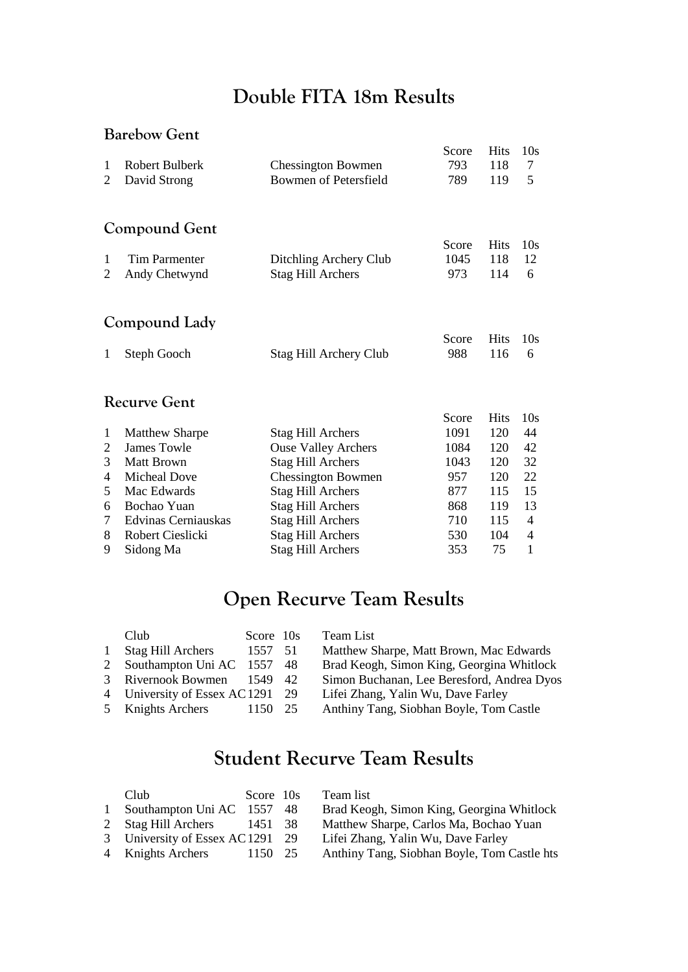## **Double FITA 18m Results**

#### **Barebow Gent**

| 1                   | <b>Robert Bulberk</b>                       | <b>Chessington Bowmen</b>                              | Score<br>793 | <b>Hits</b><br>118 | 10 <sub>s</sub><br>7     |  |  |  |  |
|---------------------|---------------------------------------------|--------------------------------------------------------|--------------|--------------------|--------------------------|--|--|--|--|
| 2                   | David Strong                                | Bowmen of Petersfield                                  | 789          | 119                | 5                        |  |  |  |  |
|                     | Compound Gent                               |                                                        |              |                    |                          |  |  |  |  |
|                     |                                             |                                                        | Score        | <b>Hits</b>        | 10 <sub>s</sub>          |  |  |  |  |
| 1                   | Tim Parmenter                               | Ditchling Archery Club                                 | 1045         | 118                | 12                       |  |  |  |  |
| 2                   | Andy Chetwynd                               | <b>Stag Hill Archers</b>                               | 973          | 114                | 6                        |  |  |  |  |
|                     | Compound Lady                               |                                                        |              |                    |                          |  |  |  |  |
|                     |                                             |                                                        | Score        | <b>Hits</b>        | 10s                      |  |  |  |  |
| $\mathbf{1}$        | <b>Steph Gooch</b>                          | Stag Hill Archery Club                                 | 988          | 116                | 6                        |  |  |  |  |
| <b>Recurve Gent</b> |                                             |                                                        |              |                    |                          |  |  |  |  |
|                     |                                             |                                                        | Score        | <b>Hits</b>        | 10 <sub>s</sub>          |  |  |  |  |
| 1                   | <b>Matthew Sharpe</b><br><b>James Towle</b> | <b>Stag Hill Archers</b>                               | 1091<br>1084 | 120                | 44                       |  |  |  |  |
| 2<br>3              | Matt Brown                                  | <b>Ouse Valley Archers</b><br><b>Stag Hill Archers</b> | 1043         | 120<br>120         | 42<br>32                 |  |  |  |  |
| 4                   | <b>Micheal Dove</b>                         | <b>Chessington Bowmen</b>                              | 957          | 120                | 22                       |  |  |  |  |
| 5                   | Mac Edwards                                 | <b>Stag Hill Archers</b>                               | 877          | 115                | 15                       |  |  |  |  |
| 6                   | Bochao Yuan                                 | <b>Stag Hill Archers</b>                               | 868          | 119                | 13                       |  |  |  |  |
| 7                   | Edvinas Cerniauskas                         | <b>Stag Hill Archers</b>                               | 710          | 115                | 4                        |  |  |  |  |
| 8                   | Robert Cieslicki                            | <b>Stag Hill Archers</b>                               | 530          | 104                | $\overline{\mathcal{A}}$ |  |  |  |  |
| 9                   | Sidong Ma                                   | <b>Stag Hill Archers</b>                               | 353          | 75                 | $\mathbf{1}$             |  |  |  |  |

## **Open Recurve Team Results**

|              | Club                             | Score 10s | Team List                                  |
|--------------|----------------------------------|-----------|--------------------------------------------|
| $\mathbf{1}$ | <b>Stag Hill Archers</b>         | 1557 51   | Matthew Sharpe, Matt Brown, Mac Edwards    |
|              | 2 Southampton Uni AC 1557 48     |           | Brad Keogh, Simon King, Georgina Whitlock  |
|              | 3 Rivernook Bowmen               | 1549 42   | Simon Buchanan, Lee Beresford, Andrea Dyos |
|              | 4 University of Essex AC 1291 29 |           | Lifei Zhang, Yalin Wu, Dave Farley         |
|              | 5 Knights Archers                | 1150 25   | Anthiny Tang, Siobhan Boyle, Tom Castle    |
|              |                                  |           |                                            |

## **Student Recurve Team Results**

|              | Club                             | Score 10s | Team list                                   |
|--------------|----------------------------------|-----------|---------------------------------------------|
| $\mathbf{1}$ | Southampton Uni AC 1557 48       |           | Brad Keogh, Simon King, Georgina Whitlock   |
|              | 2 Stag Hill Archers 1451 38      |           | Matthew Sharpe, Carlos Ma, Bochao Yuan      |
|              | 3 University of Essex AC 1291 29 |           | Lifei Zhang, Yalin Wu, Dave Farley          |
|              | 4 Knights Archers                | 1150 25   | Anthiny Tang, Siobhan Boyle, Tom Castle hts |